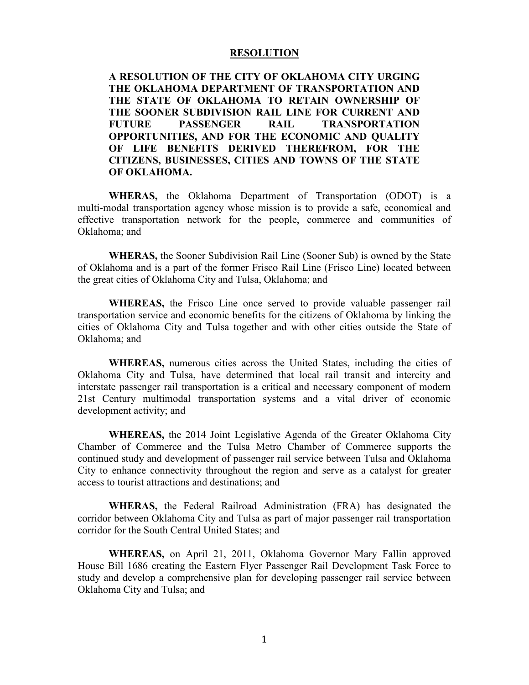## **RESOLUTION**

**A RESOLUTION OF THE CITY OF OKLAHOMA CITY URGING THE OKLAHOMA DEPARTMENT OF TRANSPORTATION AND THE STATE OF OKLAHOMA TO RETAIN OWNERSHIP OF THE SOONER SUBDIVISION RAIL LINE FOR CURRENT AND FUTURE PASSENGER RAIL TRANSPORTATION OPPORTUNITIES, AND FOR THE ECONOMIC AND QUALITY OF LIFE BENEFITS DERIVED THEREFROM, FOR THE CITIZENS, BUSINESSES, CITIES AND TOWNS OF THE STATE OF OKLAHOMA.** 

 **WHERAS,** the Oklahoma Department of Transportation (ODOT) is a multi-modal transportation agency whose mission is to provide a safe, economical and effective transportation network for the people, commerce and communities of Oklahoma; and

 **WHERAS,** the Sooner Subdivision Rail Line (Sooner Sub) is owned by the State of Oklahoma and is a part of the former Frisco Rail Line (Frisco Line) located between the great cities of Oklahoma City and Tulsa, Oklahoma; and

 **WHEREAS,** the Frisco Line once served to provide valuable passenger rail transportation service and economic benefits for the citizens of Oklahoma by linking the cities of Oklahoma City and Tulsa together and with other cities outside the State of Oklahoma; and

 **WHEREAS,** numerous cities across the United States, including the cities of Oklahoma City and Tulsa, have determined that local rail transit and intercity and interstate passenger rail transportation is a critical and necessary component of modern 21st Century multimodal transportation systems and a vital driver of economic development activity; and

 **WHEREAS,** the 2014 Joint Legislative Agenda of the Greater Oklahoma City Chamber of Commerce and the Tulsa Metro Chamber of Commerce supports the continued study and development of passenger rail service between Tulsa and Oklahoma City to enhance connectivity throughout the region and serve as a catalyst for greater access to tourist attractions and destinations; and

 **WHERAS,** the Federal Railroad Administration (FRA) has designated the corridor between Oklahoma City and Tulsa as part of major passenger rail transportation corridor for the South Central United States; and

 **WHEREAS,** on April 21, 2011, Oklahoma Governor Mary Fallin approved House Bill 1686 creating the Eastern Flyer Passenger Rail Development Task Force to study and develop a comprehensive plan for developing passenger rail service between Oklahoma City and Tulsa; and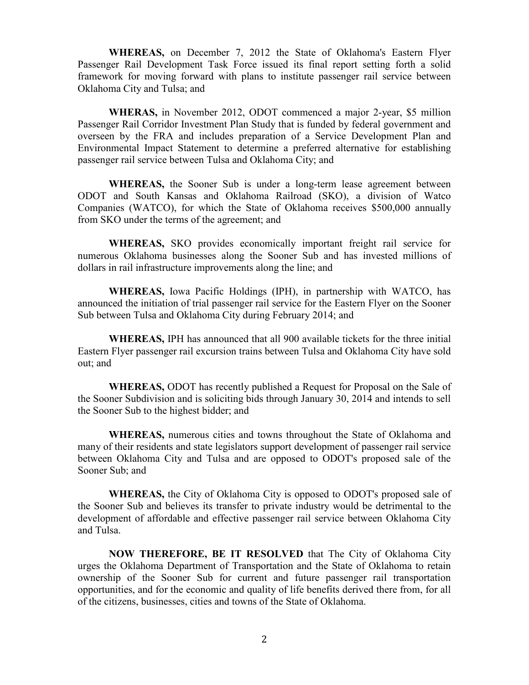**WHEREAS,** on December 7, 2012 the State of Oklahoma's Eastern Flyer Passenger Rail Development Task Force issued its final report setting forth a solid framework for moving forward with plans to institute passenger rail service between Oklahoma City and Tulsa; and

 **WHERAS,** in November 2012, ODOT commenced a major 2-year, \$5 million Passenger Rail Corridor Investment Plan Study that is funded by federal government and overseen by the FRA and includes preparation of a Service Development Plan and Environmental Impact Statement to determine a preferred alternative for establishing passenger rail service between Tulsa and Oklahoma City; and

 **WHEREAS,** the Sooner Sub is under a long-term lease agreement between ODOT and South Kansas and Oklahoma Railroad (SKO), a division of Watco Companies (WATCO), for which the State of Oklahoma receives \$500,000 annually from SKO under the terms of the agreement; and

 **WHEREAS,** SKO provides economically important freight rail service for numerous Oklahoma businesses along the Sooner Sub and has invested millions of dollars in rail infrastructure improvements along the line; and

 **WHEREAS,** Iowa Pacific Holdings (IPH), in partnership with WATCO, has announced the initiation of trial passenger rail service for the Eastern Flyer on the Sooner Sub between Tulsa and Oklahoma City during February 2014; and

 **WHEREAS,** IPH has announced that all 900 available tickets for the three initial Eastern Flyer passenger rail excursion trains between Tulsa and Oklahoma City have sold out; and

 **WHEREAS,** ODOT has recently published a Request for Proposal on the Sale of the Sooner Subdivision and is soliciting bids through January 30, 2014 and intends to sell the Sooner Sub to the highest bidder; and

 **WHEREAS,** numerous cities and towns throughout the State of Oklahoma and many of their residents and state legislators support development of passenger rail service between Oklahoma City and Tulsa and are opposed to ODOT's proposed sale of the Sooner Sub; and

 **WHEREAS,** the City of Oklahoma City is opposed to ODOT's proposed sale of the Sooner Sub and believes its transfer to private industry would be detrimental to the development of affordable and effective passenger rail service between Oklahoma City and Tulsa.

 **NOW THEREFORE, BE IT RESOLVED** that The City of Oklahoma City urges the Oklahoma Department of Transportation and the State of Oklahoma to retain ownership of the Sooner Sub for current and future passenger rail transportation opportunities, and for the economic and quality of life benefits derived there from, for all of the citizens, businesses, cities and towns of the State of Oklahoma.